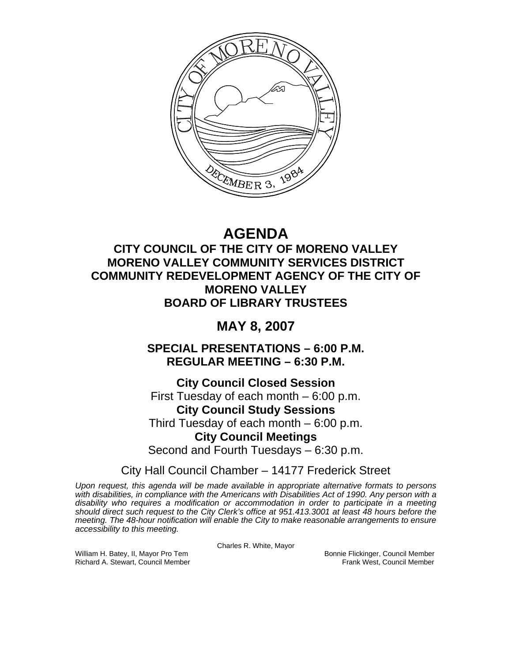

# **AGENDA**

## **CITY COUNCIL OF THE CITY OF MORENO VALLEY MORENO VALLEY COMMUNITY SERVICES DISTRICT COMMUNITY REDEVELOPMENT AGENCY OF THE CITY OF MORENO VALLEY BOARD OF LIBRARY TRUSTEES**

## **MAY 8, 2007**

**SPECIAL PRESENTATIONS – 6:00 P.M. REGULAR MEETING – 6:30 P.M.** 

**City Council Closed Session**  First Tuesday of each month – 6:00 p.m. **City Council Study Sessions**  Third Tuesday of each month – 6:00 p.m. **City Council Meetings**  Second and Fourth Tuesdays – 6:30 p.m.

City Hall Council Chamber – 14177 Frederick Street

*Upon request, this agenda will be made available in appropriate alternative formats to persons with disabilities, in compliance with the Americans with Disabilities Act of 1990. Any person with a disability who requires a modification or accommodation in order to participate in a meeting should direct such request to the City Clerk's office at 951.413.3001 at least 48 hours before the meeting. The 48-hour notification will enable the City to make reasonable arrangements to ensure accessibility to this meeting.* 

Charles R. White, Mayor

William H. Batey, II, Mayor Pro Tem Bonnie Flickinger, Council Member<br>Richard A. Stewart, Council Member Bonnie Frank West, Council Member Richard A. Stewart, Council Member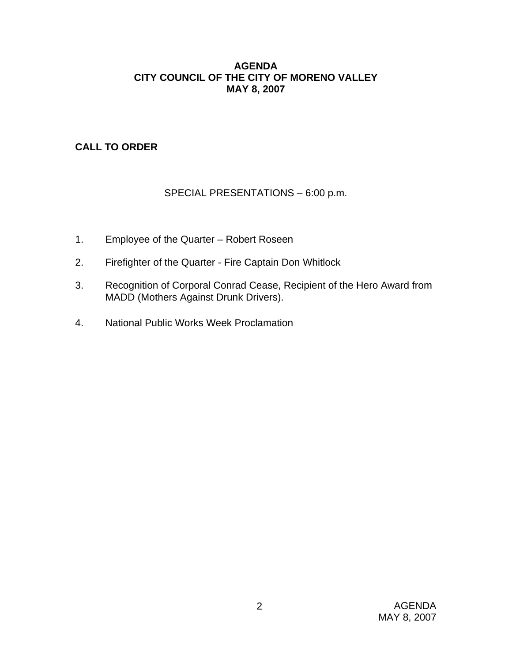#### **AGENDA CITY COUNCIL OF THE CITY OF MORENO VALLEY MAY 8, 2007**

## **CALL TO ORDER**

## SPECIAL PRESENTATIONS – 6:00 p.m.

- 1. Employee of the Quarter Robert Roseen
- 2. Firefighter of the Quarter Fire Captain Don Whitlock
- 3. Recognition of Corporal Conrad Cease, Recipient of the Hero Award from MADD (Mothers Against Drunk Drivers).
- 4. National Public Works Week Proclamation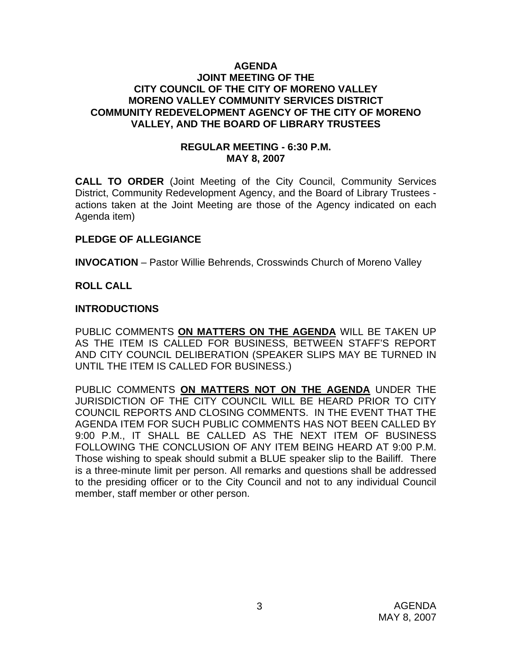#### **AGENDA JOINT MEETING OF THE CITY COUNCIL OF THE CITY OF MORENO VALLEY MORENO VALLEY COMMUNITY SERVICES DISTRICT COMMUNITY REDEVELOPMENT AGENCY OF THE CITY OF MORENO VALLEY, AND THE BOARD OF LIBRARY TRUSTEES**

#### **REGULAR MEETING - 6:30 P.M. MAY 8, 2007**

**CALL TO ORDER** (Joint Meeting of the City Council, Community Services District, Community Redevelopment Agency, and the Board of Library Trustees actions taken at the Joint Meeting are those of the Agency indicated on each Agenda item)

## **PLEDGE OF ALLEGIANCE**

**INVOCATION** – Pastor Willie Behrends, Crosswinds Church of Moreno Valley

#### **ROLL CALL**

#### **INTRODUCTIONS**

PUBLIC COMMENTS **ON MATTERS ON THE AGENDA** WILL BE TAKEN UP AS THE ITEM IS CALLED FOR BUSINESS, BETWEEN STAFF'S REPORT AND CITY COUNCIL DELIBERATION (SPEAKER SLIPS MAY BE TURNED IN UNTIL THE ITEM IS CALLED FOR BUSINESS.)

PUBLIC COMMENTS **ON MATTERS NOT ON THE AGENDA** UNDER THE JURISDICTION OF THE CITY COUNCIL WILL BE HEARD PRIOR TO CITY COUNCIL REPORTS AND CLOSING COMMENTS. IN THE EVENT THAT THE AGENDA ITEM FOR SUCH PUBLIC COMMENTS HAS NOT BEEN CALLED BY 9:00 P.M., IT SHALL BE CALLED AS THE NEXT ITEM OF BUSINESS FOLLOWING THE CONCLUSION OF ANY ITEM BEING HEARD AT 9:00 P.M. Those wishing to speak should submit a BLUE speaker slip to the Bailiff. There is a three-minute limit per person. All remarks and questions shall be addressed to the presiding officer or to the City Council and not to any individual Council member, staff member or other person.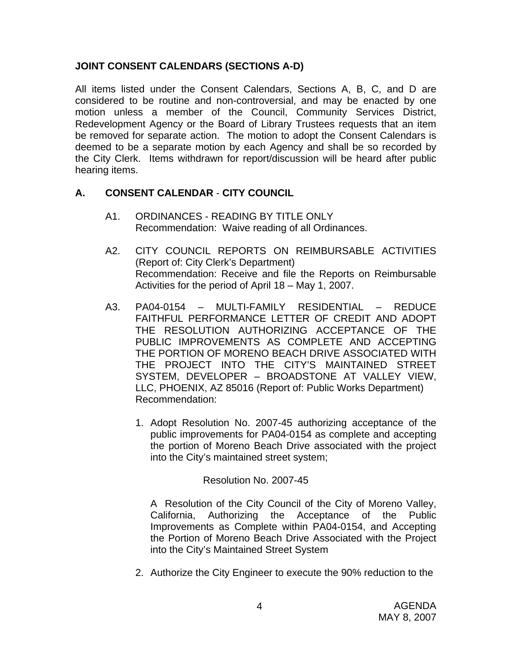## **JOINT CONSENT CALENDARS (SECTIONS A-D)**

All items listed under the Consent Calendars, Sections A, B, C, and D are considered to be routine and non-controversial, and may be enacted by one motion unless a member of the Council, Community Services District, Redevelopment Agency or the Board of Library Trustees requests that an item be removed for separate action. The motion to adopt the Consent Calendars is deemed to be a separate motion by each Agency and shall be so recorded by the City Clerk. Items withdrawn for report/discussion will be heard after public hearing items.

## **A. CONSENT CALENDAR** - **CITY COUNCIL**

- A1. ORDINANCES READING BY TITLE ONLY Recommendation: Waive reading of all Ordinances.
- A2. CITY COUNCIL REPORTS ON REIMBURSABLE ACTIVITIES (Report of: City Clerk's Department) Recommendation: Receive and file the Reports on Reimbursable Activities for the period of April 18 – May 1, 2007.
- A3. PA04-0154 MULTI-FAMILY RESIDENTIAL REDUCE FAITHFUL PERFORMANCE LETTER OF CREDIT AND ADOPT THE RESOLUTION AUTHORIZING ACCEPTANCE OF THE PUBLIC IMPROVEMENTS AS COMPLETE AND ACCEPTING THE PORTION OF MORENO BEACH DRIVE ASSOCIATED WITH THE PROJECT INTO THE CITY'S MAINTAINED STREET SYSTEM, DEVELOPER – BROADSTONE AT VALLEY VIEW, LLC, PHOENIX, AZ 85016 (Report of: Public Works Department) Recommendation:
	- 1. Adopt Resolution No. 2007-45 authorizing acceptance of the public improvements for PA04-0154 as complete and accepting the portion of Moreno Beach Drive associated with the project into the City's maintained street system;

#### Resolution No. 2007-45

A Resolution of the City Council of the City of Moreno Valley, California, Authorizing the Acceptance of the Public Improvements as Complete within PA04-0154, and Accepting the Portion of Moreno Beach Drive Associated with the Project into the City's Maintained Street System

2. Authorize the City Engineer to execute the 90% reduction to the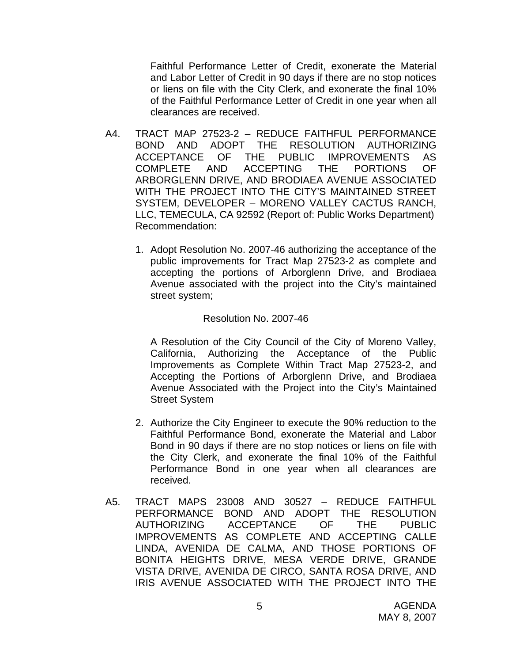Faithful Performance Letter of Credit, exonerate the Material and Labor Letter of Credit in 90 days if there are no stop notices or liens on file with the City Clerk, and exonerate the final 10% of the Faithful Performance Letter of Credit in one year when all clearances are received.

- A4. TRACT MAP 27523-2 REDUCE FAITHFUL PERFORMANCE BOND AND ADOPT THE RESOLUTION AUTHORIZING ACCEPTANCE OF THE PUBLIC IMPROVEMENTS AS COMPLETE AND ACCEPTING THE PORTIONS OF ARBORGLENN DRIVE, AND BRODIAEA AVENUE ASSOCIATED WITH THE PROJECT INTO THE CITY'S MAINTAINED STREET SYSTEM, DEVELOPER – MORENO VALLEY CACTUS RANCH, LLC, TEMECULA, CA 92592 (Report of: Public Works Department) Recommendation:
	- 1. Adopt Resolution No. 2007-46 authorizing the acceptance of the public improvements for Tract Map 27523-2 as complete and accepting the portions of Arborglenn Drive, and Brodiaea Avenue associated with the project into the City's maintained street system;

#### Resolution No. 2007-46

 A Resolution of the City Council of the City of Moreno Valley, California, Authorizing the Acceptance of the Public Improvements as Complete Within Tract Map 27523-2, and Accepting the Portions of Arborglenn Drive, and Brodiaea Avenue Associated with the Project into the City's Maintained Street System

- 2. Authorize the City Engineer to execute the 90% reduction to the Faithful Performance Bond, exonerate the Material and Labor Bond in 90 days if there are no stop notices or liens on file with the City Clerk, and exonerate the final 10% of the Faithful Performance Bond in one year when all clearances are received.
- A5. TRACT MAPS 23008 AND 30527 REDUCE FAITHFUL PERFORMANCE BOND AND ADOPT THE RESOLUTION AUTHORIZING ACCEPTANCE OF THE PUBLIC IMPROVEMENTS AS COMPLETE AND ACCEPTING CALLE LINDA, AVENIDA DE CALMA, AND THOSE PORTIONS OF BONITA HEIGHTS DRIVE, MESA VERDE DRIVE, GRANDE VISTA DRIVE, AVENIDA DE CIRCO, SANTA ROSA DRIVE, AND IRIS AVENUE ASSOCIATED WITH THE PROJECT INTO THE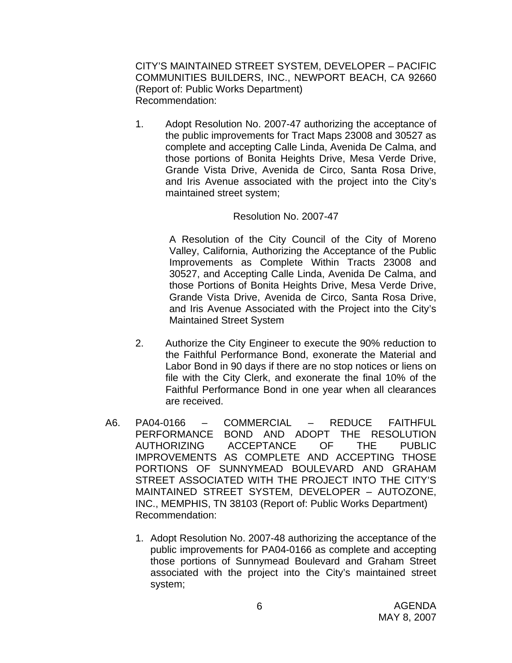CITY'S MAINTAINED STREET SYSTEM, DEVELOPER – PACIFIC COMMUNITIES BUILDERS, INC., NEWPORT BEACH, CA 92660 (Report of: Public Works Department) Recommendation:

1. Adopt Resolution No. 2007-47 authorizing the acceptance of the public improvements for Tract Maps 23008 and 30527 as complete and accepting Calle Linda, Avenida De Calma, and those portions of Bonita Heights Drive, Mesa Verde Drive, Grande Vista Drive, Avenida de Circo, Santa Rosa Drive, and Iris Avenue associated with the project into the City's maintained street system;

#### Resolution No. 2007-47

A Resolution of the City Council of the City of Moreno Valley, California, Authorizing the Acceptance of the Public Improvements as Complete Within Tracts 23008 and 30527, and Accepting Calle Linda, Avenida De Calma, and those Portions of Bonita Heights Drive, Mesa Verde Drive, Grande Vista Drive, Avenida de Circo, Santa Rosa Drive, and Iris Avenue Associated with the Project into the City's Maintained Street System

- 2. Authorize the City Engineer to execute the 90% reduction to the Faithful Performance Bond, exonerate the Material and Labor Bond in 90 days if there are no stop notices or liens on file with the City Clerk, and exonerate the final 10% of the Faithful Performance Bond in one year when all clearances are received.
- A6. PA04-0166 COMMERCIAL REDUCE FAITHFUL PERFORMANCE BOND AND ADOPT THE RESOLUTION AUTHORIZING ACCEPTANCE OF THE PUBLIC IMPROVEMENTS AS COMPLETE AND ACCEPTING THOSE PORTIONS OF SUNNYMEAD BOULEVARD AND GRAHAM STREET ASSOCIATED WITH THE PROJECT INTO THE CITY'S MAINTAINED STREET SYSTEM, DEVELOPER – AUTOZONE, INC., MEMPHIS, TN 38103 (Report of: Public Works Department) Recommendation:
	- 1. Adopt Resolution No. 2007-48 authorizing the acceptance of the public improvements for PA04-0166 as complete and accepting those portions of Sunnymead Boulevard and Graham Street associated with the project into the City's maintained street system;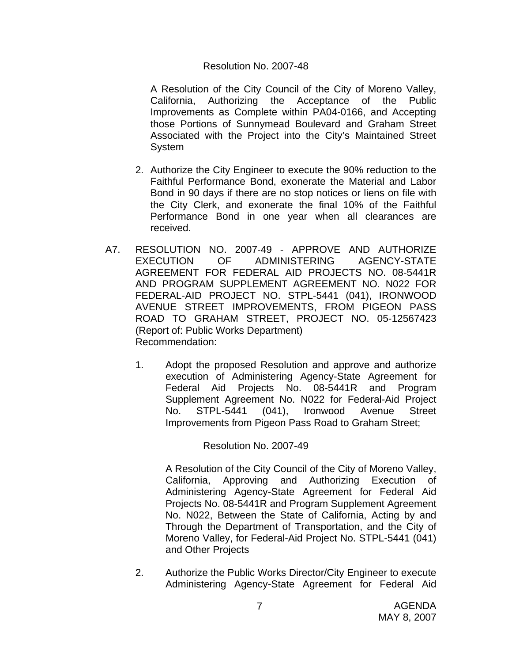#### Resolution No. 2007-48

 A Resolution of the City Council of the City of Moreno Valley, California, Authorizing the Acceptance of the Public Improvements as Complete within PA04-0166, and Accepting those Portions of Sunnymead Boulevard and Graham Street Associated with the Project into the City's Maintained Street System

- 2. Authorize the City Engineer to execute the 90% reduction to the Faithful Performance Bond, exonerate the Material and Labor Bond in 90 days if there are no stop notices or liens on file with the City Clerk, and exonerate the final 10% of the Faithful Performance Bond in one year when all clearances are received.
- A7. RESOLUTION NO. 2007-49 APPROVE AND AUTHORIZE EXECUTION OF ADMINISTERING AGENCY-STATE AGREEMENT FOR FEDERAL AID PROJECTS NO. 08-5441R AND PROGRAM SUPPLEMENT AGREEMENT NO. N022 FOR FEDERAL-AID PROJECT NO. STPL-5441 (041), IRONWOOD AVENUE STREET IMPROVEMENTS, FROM PIGEON PASS ROAD TO GRAHAM STREET, PROJECT NO. 05-12567423 (Report of: Public Works Department) Recommendation:
	- 1. Adopt the proposed Resolution and approve and authorize execution of Administering Agency-State Agreement for Federal Aid Projects No. 08-5441R and Program Supplement Agreement No. N022 for Federal-Aid Project No. STPL-5441 (041), Ironwood Avenue Street Improvements from Pigeon Pass Road to Graham Street;

#### Resolution No. 2007-49

 A Resolution of the City Council of the City of Moreno Valley, California, Approving and Authorizing Execution of Administering Agency-State Agreement for Federal Aid Projects No. 08-5441R and Program Supplement Agreement No. N022, Between the State of California, Acting by and Through the Department of Transportation, and the City of Moreno Valley, for Federal-Aid Project No. STPL-5441 (041) and Other Projects

2. Authorize the Public Works Director/City Engineer to execute Administering Agency-State Agreement for Federal Aid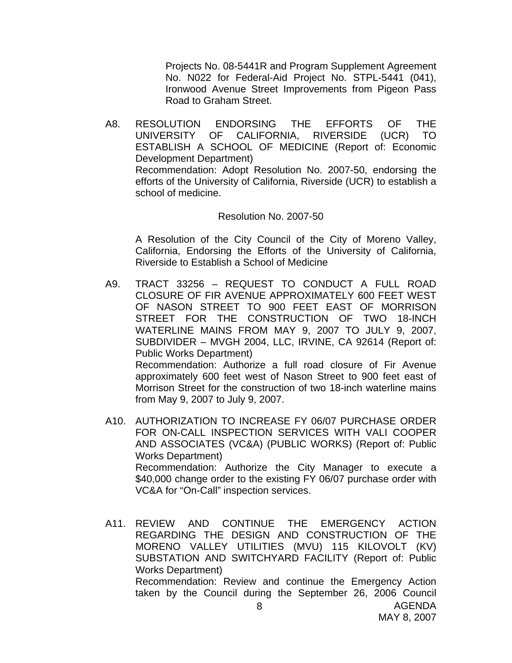Projects No. 08-5441R and Program Supplement Agreement No. N022 for Federal-Aid Project No. STPL-5441 (041), Ironwood Avenue Street Improvements from Pigeon Pass Road to Graham Street.

A8. RESOLUTION ENDORSING THE EFFORTS OF THE UNIVERSITY OF CALIFORNIA, RIVERSIDE (UCR) TO ESTABLISH A SCHOOL OF MEDICINE (Report of: Economic Development Department) Recommendation: Adopt Resolution No. 2007-50, endorsing the efforts of the University of California, Riverside (UCR) to establish a school of medicine.

#### Resolution No. 2007-50

A Resolution of the City Council of the City of Moreno Valley, California, Endorsing the Efforts of the University of California, Riverside to Establish a School of Medicine

- A9. TRACT 33256 REQUEST TO CONDUCT A FULL ROAD CLOSURE OF FIR AVENUE APPROXIMATELY 600 FEET WEST OF NASON STREET TO 900 FEET EAST OF MORRISON STREET FOR THE CONSTRUCTION OF TWO 18-INCH WATERLINE MAINS FROM MAY 9, 2007 TO JULY 9, 2007, SUBDIVIDER – MVGH 2004, LLC, IRVINE, CA 92614 (Report of: Public Works Department) Recommendation: Authorize a full road closure of Fir Avenue approximately 600 feet west of Nason Street to 900 feet east of Morrison Street for the construction of two 18-inch waterline mains
- A10. AUTHORIZATION TO INCREASE FY 06/07 PURCHASE ORDER FOR ON-CALL INSPECTION SERVICES WITH VALI COOPER AND ASSOCIATES (VC&A) (PUBLIC WORKS) (Report of: Public Works Department) Recommendation: Authorize the City Manager to execute a \$40,000 change order to the existing FY 06/07 purchase order with VC&A for "On-Call" inspection services.

from May 9, 2007 to July 9, 2007.

A11. REVIEW AND CONTINUE THE EMERGENCY ACTION REGARDING THE DESIGN AND CONSTRUCTION OF THE MORENO VALLEY UTILITIES (MVU) 115 KILOVOLT (KV) SUBSTATION AND SWITCHYARD FACILITY (Report of: Public Works Department) Recommendation: Review and continue the Emergency Action taken by the Council during the September 26, 2006 Council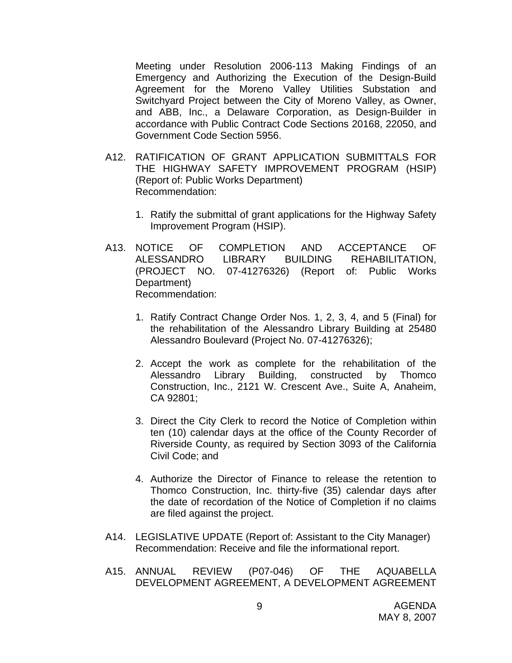Meeting under Resolution 2006-113 Making Findings of an Emergency and Authorizing the Execution of the Design-Build Agreement for the Moreno Valley Utilities Substation and Switchyard Project between the City of Moreno Valley, as Owner, and ABB, Inc., a Delaware Corporation, as Design-Builder in accordance with Public Contract Code Sections 20168, 22050, and Government Code Section 5956.

- A12. RATIFICATION OF GRANT APPLICATION SUBMITTALS FOR THE HIGHWAY SAFETY IMPROVEMENT PROGRAM (HSIP) (Report of: Public Works Department) Recommendation:
	- 1. Ratify the submittal of grant applications for the Highway Safety Improvement Program (HSIP).
- A13. NOTICE OF COMPLETION AND ACCEPTANCE OF ALESSANDRO LIBRARY BUILDING REHABILITATION, (PROJECT NO. 07-41276326) (Report of: Public Works Department) Recommendation:
	- 1. Ratify Contract Change Order Nos. 1, 2, 3, 4, and 5 (Final) for the rehabilitation of the Alessandro Library Building at 25480 Alessandro Boulevard (Project No. 07-41276326);
	- 2. Accept the work as complete for the rehabilitation of the Alessandro Library Building, constructed by Thomco Construction, Inc., 2121 W. Crescent Ave., Suite A, Anaheim, CA 92801;
	- 3. Direct the City Clerk to record the Notice of Completion within ten (10) calendar days at the office of the County Recorder of Riverside County, as required by Section 3093 of the California Civil Code; and
	- 4. Authorize the Director of Finance to release the retention to Thomco Construction, Inc. thirty-five (35) calendar days after the date of recordation of the Notice of Completion if no claims are filed against the project.
- A14. LEGISLATIVE UPDATE (Report of: Assistant to the City Manager) Recommendation: Receive and file the informational report.
- A15. ANNUAL REVIEW (P07-046) OF THE AQUABELLA DEVELOPMENT AGREEMENT, A DEVELOPMENT AGREEMENT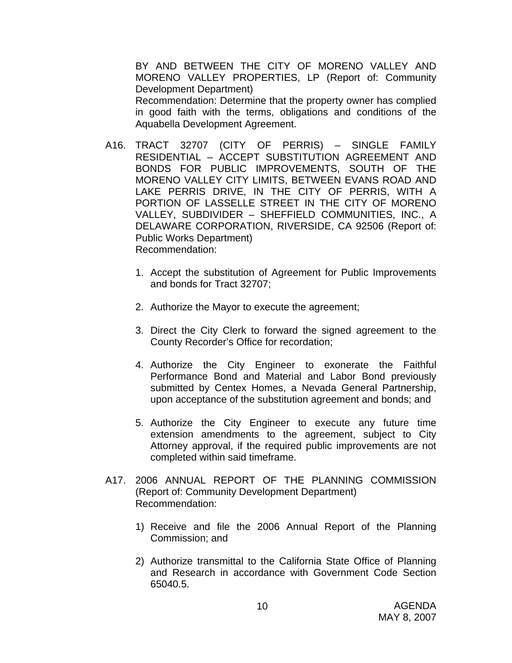BY AND BETWEEN THE CITY OF MORENO VALLEY AND MORENO VALLEY PROPERTIES, LP (Report of: Community Development Department)

 Recommendation: Determine that the property owner has complied in good faith with the terms, obligations and conditions of the Aquabella Development Agreement.

- A16. TRACT 32707 (CITY OF PERRIS) SINGLE FAMILY RESIDENTIAL – ACCEPT SUBSTITUTION AGREEMENT AND BONDS FOR PUBLIC IMPROVEMENTS, SOUTH OF THE MORENO VALLEY CITY LIMITS, BETWEEN EVANS ROAD AND LAKE PERRIS DRIVE, IN THE CITY OF PERRIS, WITH A PORTION OF LASSELLE STREET IN THE CITY OF MORENO VALLEY, SUBDIVIDER – SHEFFIELD COMMUNITIES, INC., A DELAWARE CORPORATION, RIVERSIDE, CA 92506 (Report of: Public Works Department) Recommendation:
	- 1. Accept the substitution of Agreement for Public Improvements and bonds for Tract 32707;
	- 2. Authorize the Mayor to execute the agreement;
	- 3. Direct the City Clerk to forward the signed agreement to the County Recorder's Office for recordation;
	- 4. Authorize the City Engineer to exonerate the Faithful Performance Bond and Material and Labor Bond previously submitted by Centex Homes, a Nevada General Partnership, upon acceptance of the substitution agreement and bonds; and
	- 5. Authorize the City Engineer to execute any future time extension amendments to the agreement, subject to City Attorney approval, if the required public improvements are not completed within said timeframe.
- A17. 2006 ANNUAL REPORT OF THE PLANNING COMMISSION (Report of: Community Development Department) Recommendation:
	- 1) Receive and file the 2006 Annual Report of the Planning Commission; and
	- 2) Authorize transmittal to the California State Office of Planning and Research in accordance with Government Code Section 65040.5.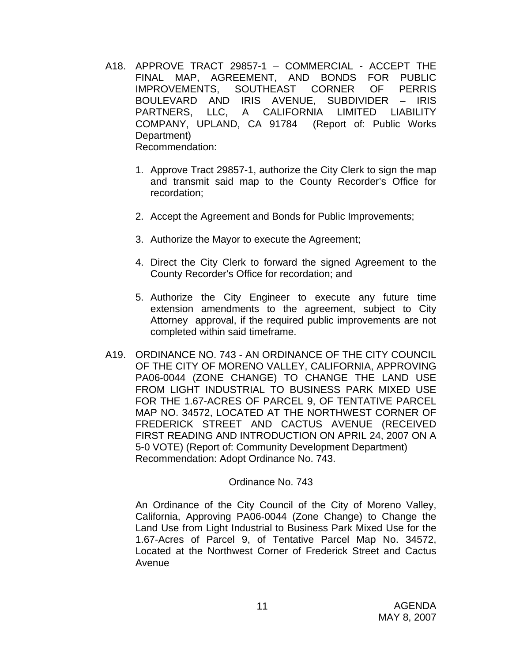- A18. APPROVE TRACT 29857-1 COMMERCIAL ACCEPT THE FINAL MAP, AGREEMENT, AND BONDS FOR PUBLIC IMPROVEMENTS, SOUTHEAST CORNER OF PERRIS BOULEVARD AND IRIS AVENUE, SUBDIVIDER – IRIS PARTNERS, LLC, A CALIFORNIA LIMITED LIABILITY COMPANY, UPLAND, CA 91784 (Report of: Public Works Department) Recommendation:
	- 1. Approve Tract 29857-1, authorize the City Clerk to sign the map and transmit said map to the County Recorder's Office for recordation;
	- 2. Accept the Agreement and Bonds for Public Improvements;
	- 3. Authorize the Mayor to execute the Agreement;
	- 4. Direct the City Clerk to forward the signed Agreement to the County Recorder's Office for recordation; and
	- 5. Authorize the City Engineer to execute any future time extension amendments to the agreement, subject to City Attorney approval, if the required public improvements are not completed within said timeframe.
- A19. ORDINANCE NO. 743 AN ORDINANCE OF THE CITY COUNCIL OF THE CITY OF MORENO VALLEY, CALIFORNIA, APPROVING PA06-0044 (ZONE CHANGE) TO CHANGE THE LAND USE FROM LIGHT INDUSTRIAL TO BUSINESS PARK MIXED USE FOR THE 1.67-ACRES OF PARCEL 9, OF TENTATIVE PARCEL MAP NO. 34572, LOCATED AT THE NORTHWEST CORNER OF FREDERICK STREET AND CACTUS AVENUE (RECEIVED FIRST READING AND INTRODUCTION ON APRIL 24, 2007 ON A 5-0 VOTE) (Report of: Community Development Department) Recommendation: Adopt Ordinance No. 743.

#### Ordinance No. 743

An Ordinance of the City Council of the City of Moreno Valley, California, Approving PA06-0044 (Zone Change) to Change the Land Use from Light Industrial to Business Park Mixed Use for the 1.67-Acres of Parcel 9, of Tentative Parcel Map No. 34572, Located at the Northwest Corner of Frederick Street and Cactus Avenue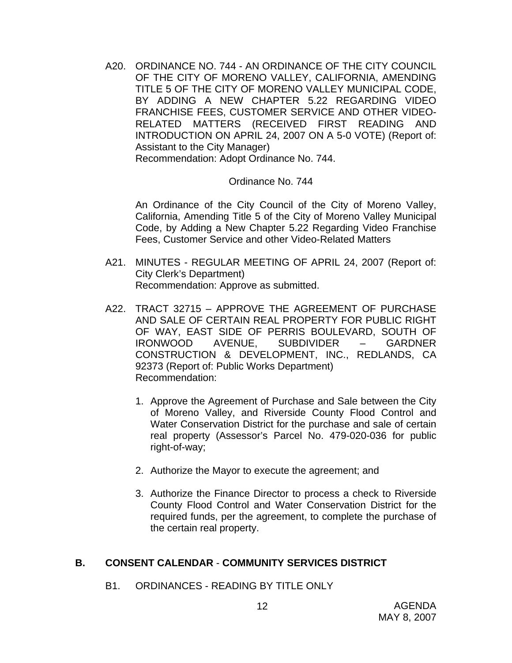A20. ORDINANCE NO. 744 - AN ORDINANCE OF THE CITY COUNCIL OF THE CITY OF MORENO VALLEY, CALIFORNIA, AMENDING TITLE 5 OF THE CITY OF MORENO VALLEY MUNICIPAL CODE, BY ADDING A NEW CHAPTER 5.22 REGARDING VIDEO FRANCHISE FEES, CUSTOMER SERVICE AND OTHER VIDEO-RELATED MATTERS (RECEIVED FIRST READING AND INTRODUCTION ON APRIL 24, 2007 ON A 5-0 VOTE) (Report of: Assistant to the City Manager) Recommendation: Adopt Ordinance No. 744.

## Ordinance No. 744

An Ordinance of the City Council of the City of Moreno Valley, California, Amending Title 5 of the City of Moreno Valley Municipal Code, by Adding a New Chapter 5.22 Regarding Video Franchise Fees, Customer Service and other Video-Related Matters

- A21. MINUTES REGULAR MEETING OF APRIL 24, 2007 (Report of: City Clerk's Department) Recommendation: Approve as submitted.
- A22. TRACT 32715 APPROVE THE AGREEMENT OF PURCHASE AND SALE OF CERTAIN REAL PROPERTY FOR PUBLIC RIGHT OF WAY, EAST SIDE OF PERRIS BOULEVARD, SOUTH OF IRONWOOD AVENUE, SUBDIVIDER – GARDNER CONSTRUCTION & DEVELOPMENT, INC., REDLANDS, CA 92373 (Report of: Public Works Department) Recommendation:
	- 1. Approve the Agreement of Purchase and Sale between the City of Moreno Valley, and Riverside County Flood Control and Water Conservation District for the purchase and sale of certain real property (Assessor's Parcel No. 479-020-036 for public right-of-way;
	- 2. Authorize the Mayor to execute the agreement; and
	- 3. Authorize the Finance Director to process a check to Riverside County Flood Control and Water Conservation District for the required funds, per the agreement, to complete the purchase of the certain real property.

## **B. CONSENT CALENDAR** - **COMMUNITY SERVICES DISTRICT**

B1. ORDINANCES - READING BY TITLE ONLY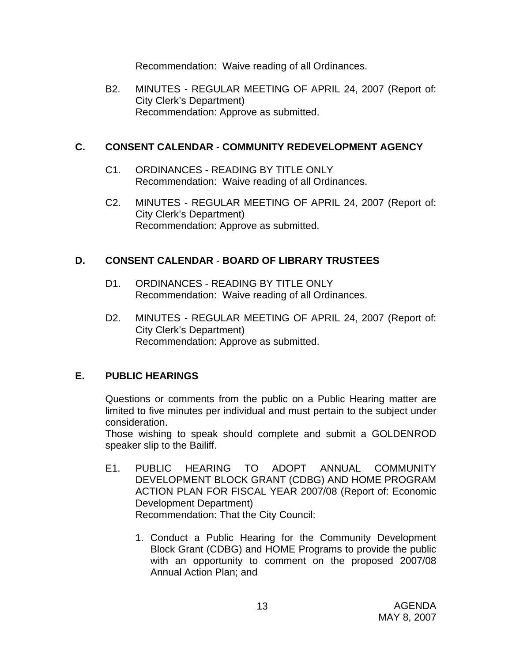Recommendation: Waive reading of all Ordinances.

B2. MINUTES - REGULAR MEETING OF APRIL 24, 2007 (Report of: City Clerk's Department) Recommendation: Approve as submitted.

#### **C. CONSENT CALENDAR** - **COMMUNITY REDEVELOPMENT AGENCY**

- C1. ORDINANCES READING BY TITLE ONLY Recommendation: Waive reading of all Ordinances.
- C2. MINUTES REGULAR MEETING OF APRIL 24, 2007 (Report of: City Clerk's Department) Recommendation: Approve as submitted.

## **D. CONSENT CALENDAR** - **BOARD OF LIBRARY TRUSTEES**

- D1. ORDINANCES READING BY TITLE ONLY Recommendation: Waive reading of all Ordinances.
- D2. MINUTES REGULAR MEETING OF APRIL 24, 2007 (Report of: City Clerk's Department) Recommendation: Approve as submitted.

## **E. PUBLIC HEARINGS**

Questions or comments from the public on a Public Hearing matter are limited to five minutes per individual and must pertain to the subject under consideration.

 Those wishing to speak should complete and submit a GOLDENROD speaker slip to the Bailiff.

- E1. PUBLIC HEARING TO ADOPT ANNUAL COMMUNITY DEVELOPMENT BLOCK GRANT (CDBG) AND HOME PROGRAM ACTION PLAN FOR FISCAL YEAR 2007/08 (Report of: Economic Development Department) Recommendation: That the City Council:
	- 1. Conduct a Public Hearing for the Community Development Block Grant (CDBG) and HOME Programs to provide the public with an opportunity to comment on the proposed 2007/08 Annual Action Plan; and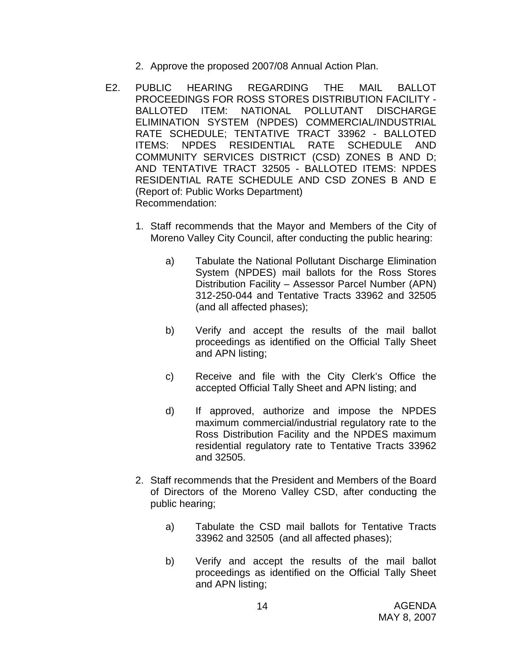- 2. Approve the proposed 2007/08 Annual Action Plan.
- E2. PUBLIC HEARING REGARDING THE MAIL BALLOT PROCEEDINGS FOR ROSS STORES DISTRIBUTION FACILITY - BALLOTED ITEM: NATIONAL POLLUTANT DISCHARGE ELIMINATION SYSTEM (NPDES) COMMERCIAL/INDUSTRIAL RATE SCHEDULE; TENTATIVE TRACT 33962 - BALLOTED ITEMS: NPDES RESIDENTIAL RATE SCHEDULE AND COMMUNITY SERVICES DISTRICT (CSD) ZONES B AND D; AND TENTATIVE TRACT 32505 - BALLOTED ITEMS: NPDES RESIDENTIAL RATE SCHEDULE AND CSD ZONES B AND E (Report of: Public Works Department) Recommendation:
	- 1. Staff recommends that the Mayor and Members of the City of Moreno Valley City Council, after conducting the public hearing:
		- a) Tabulate the National Pollutant Discharge Elimination System (NPDES) mail ballots for the Ross Stores Distribution Facility – Assessor Parcel Number (APN) 312-250-044 and Tentative Tracts 33962 and 32505 (and all affected phases);
		- b) Verify and accept the results of the mail ballot proceedings as identified on the Official Tally Sheet and APN listing;
		- c) Receive and file with the City Clerk's Office the accepted Official Tally Sheet and APN listing; and
		- d) If approved, authorize and impose the NPDES maximum commercial/industrial regulatory rate to the Ross Distribution Facility and the NPDES maximum residential regulatory rate to Tentative Tracts 33962 and 32505.
	- 2. Staff recommends that the President and Members of the Board of Directors of the Moreno Valley CSD, after conducting the public hearing;
		- a) Tabulate the CSD mail ballots for Tentative Tracts 33962 and 32505 (and all affected phases);
		- b) Verify and accept the results of the mail ballot proceedings as identified on the Official Tally Sheet and APN listing;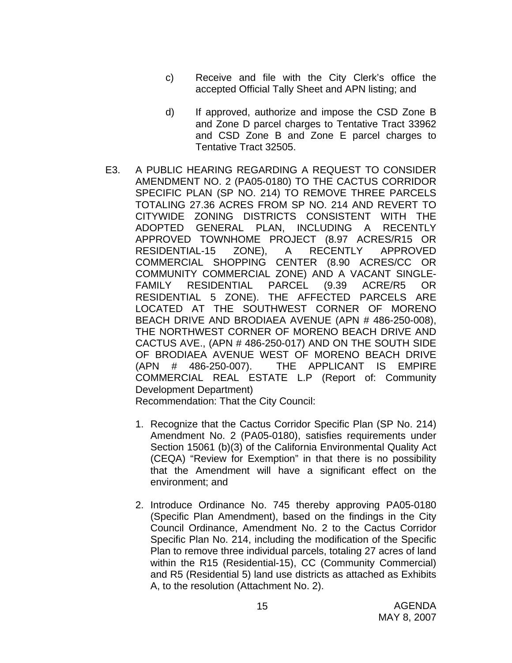- c) Receive and file with the City Clerk's office the accepted Official Tally Sheet and APN listing; and
- d) If approved, authorize and impose the CSD Zone B and Zone D parcel charges to Tentative Tract 33962 and CSD Zone B and Zone E parcel charges to Tentative Tract 32505.
- E3. A PUBLIC HEARING REGARDING A REQUEST TO CONSIDER AMENDMENT NO. 2 (PA05-0180) TO THE CACTUS CORRIDOR SPECIFIC PLAN (SP NO. 214) TO REMOVE THREE PARCELS TOTALING 27.36 ACRES FROM SP NO. 214 AND REVERT TO CITYWIDE ZONING DISTRICTS CONSISTENT WITH THE ADOPTED GENERAL PLAN, INCLUDING A RECENTLY APPROVED TOWNHOME PROJECT (8.97 ACRES/R15 OR RESIDENTIAL-15 ZONE), A RECENTLY APPROVED COMMERCIAL SHOPPING CENTER (8.90 ACRES/CC OR COMMUNITY COMMERCIAL ZONE) AND A VACANT SINGLE-FAMILY RESIDENTIAL PARCEL (9.39 ACRE/R5 OR RESIDENTIAL 5 ZONE). THE AFFECTED PARCELS ARE LOCATED AT THE SOUTHWEST CORNER OF MORENO BEACH DRIVE AND BRODIAEA AVENUE (APN # 486-250-008), THE NORTHWEST CORNER OF MORENO BEACH DRIVE AND CACTUS AVE., (APN # 486-250-017) AND ON THE SOUTH SIDE OF BRODIAEA AVENUE WEST OF MORENO BEACH DRIVE (APN # 486-250-007). THE APPLICANT IS EMPIRE COMMERCIAL REAL ESTATE L.P (Report of: Community Development Department)

Recommendation: That the City Council:

- 1. Recognize that the Cactus Corridor Specific Plan (SP No. 214) Amendment No. 2 (PA05-0180), satisfies requirements under Section 15061 (b)(3) of the California Environmental Quality Act (CEQA) "Review for Exemption" in that there is no possibility that the Amendment will have a significant effect on the environment; and
- 2. Introduce Ordinance No. 745 thereby approving PA05-0180 (Specific Plan Amendment), based on the findings in the City Council Ordinance, Amendment No. 2 to the Cactus Corridor Specific Plan No. 214, including the modification of the Specific Plan to remove three individual parcels, totaling 27 acres of land within the R15 (Residential-15), CC (Community Commercial) and R5 (Residential 5) land use districts as attached as Exhibits A, to the resolution (Attachment No. 2).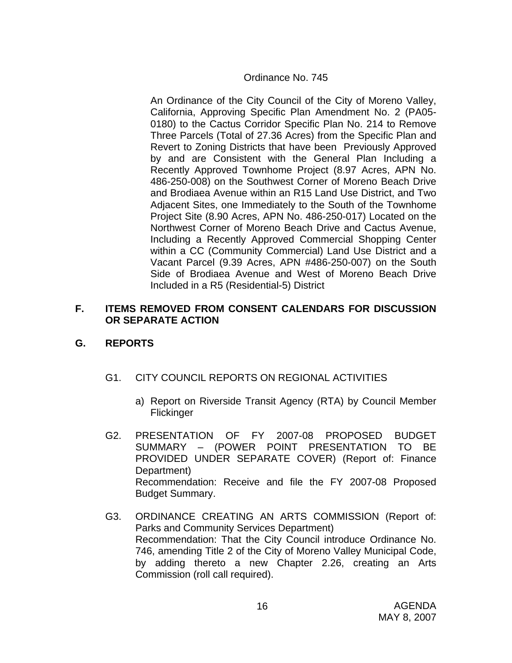#### Ordinance No. 745

An Ordinance of the City Council of the City of Moreno Valley, California, Approving Specific Plan Amendment No. 2 (PA05- 0180) to the Cactus Corridor Specific Plan No. 214 to Remove Three Parcels (Total of 27.36 Acres) from the Specific Plan and Revert to Zoning Districts that have been Previously Approved by and are Consistent with the General Plan Including a Recently Approved Townhome Project (8.97 Acres, APN No. 486-250-008) on the Southwest Corner of Moreno Beach Drive and Brodiaea Avenue within an R15 Land Use District, and Two Adjacent Sites, one Immediately to the South of the Townhome Project Site (8.90 Acres, APN No. 486-250-017) Located on the Northwest Corner of Moreno Beach Drive and Cactus Avenue, Including a Recently Approved Commercial Shopping Center within a CC (Community Commercial) Land Use District and a Vacant Parcel (9.39 Acres, APN #486-250-007) on the South Side of Brodiaea Avenue and West of Moreno Beach Drive Included in a R5 (Residential-5) District

#### **F. ITEMS REMOVED FROM CONSENT CALENDARS FOR DISCUSSION OR SEPARATE ACTION**

## **G. REPORTS**

- G1. CITY COUNCIL REPORTS ON REGIONAL ACTIVITIES
	- a) Report on Riverside Transit Agency (RTA) by Council Member **Flickinger**
- G2. PRESENTATION OF FY 2007-08 PROPOSED BUDGET SUMMARY – (POWER POINT PRESENTATION TO BE PROVIDED UNDER SEPARATE COVER) (Report of: Finance Department) Recommendation: Receive and file the FY 2007-08 Proposed Budget Summary.
- G3. ORDINANCE CREATING AN ARTS COMMISSION (Report of: Parks and Community Services Department) Recommendation: That the City Council introduce Ordinance No. 746, amending Title 2 of the City of Moreno Valley Municipal Code, by adding thereto a new Chapter 2.26, creating an Arts Commission (roll call required).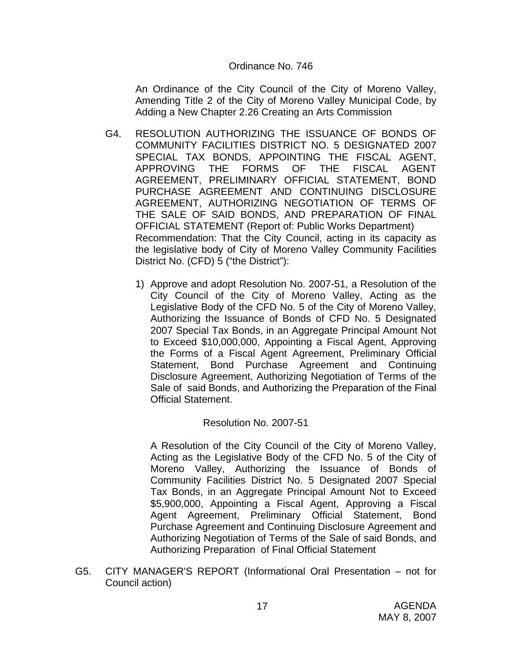#### Ordinance No. 746

An Ordinance of the City Council of the City of Moreno Valley, Amending Title 2 of the City of Moreno Valley Municipal Code, by Adding a New Chapter 2.26 Creating an Arts Commission

- G4. RESOLUTION AUTHORIZING THE ISSUANCE OF BONDS OF COMMUNITY FACILITIES DISTRICT NO. 5 DESIGNATED 2007 SPECIAL TAX BONDS, APPOINTING THE FISCAL AGENT, APPROVING THE FORMS OF THE FISCAL AGENT AGREEMENT, PRELIMINARY OFFICIAL STATEMENT, BOND PURCHASE AGREEMENT AND CONTINUING DISCLOSURE AGREEMENT, AUTHORIZING NEGOTIATION OF TERMS OF THE SALE OF SAID BONDS, AND PREPARATION OF FINAL OFFICIAL STATEMENT (Report of: Public Works Department) Recommendation: That the City Council, acting in its capacity as the legislative body of City of Moreno Valley Community Facilities District No. (CFD) 5 ("the District"):
	- 1) Approve and adopt Resolution No. 2007-51, a Resolution of the City Council of the City of Moreno Valley, Acting as the Legislative Body of the CFD No. 5 of the City of Moreno Valley, Authorizing the Issuance of Bonds of CFD No. 5 Designated 2007 Special Tax Bonds, in an Aggregate Principal Amount Not to Exceed \$10,000,000, Appointing a Fiscal Agent, Approving the Forms of a Fiscal Agent Agreement, Preliminary Official Statement, Bond Purchase Agreement and Continuing Disclosure Agreement, Authorizing Negotiation of Terms of the Sale of said Bonds, and Authorizing the Preparation of the Final Official Statement.

#### Resolution No. 2007-51

A Resolution of the City Council of the City of Moreno Valley, Acting as the Legislative Body of the CFD No. 5 of the City of Moreno Valley, Authorizing the Issuance of Bonds of Community Facilities District No. 5 Designated 2007 Special Tax Bonds, in an Aggregate Principal Amount Not to Exceed \$5,900,000, Appointing a Fiscal Agent, Approving a Fiscal Agent Agreement, Preliminary Official Statement, Bond Purchase Agreement and Continuing Disclosure Agreement and Authorizing Negotiation of Terms of the Sale of said Bonds, and Authorizing Preparation of Final Official Statement

G5. CITY MANAGER'S REPORT (Informational Oral Presentation – not for Council action)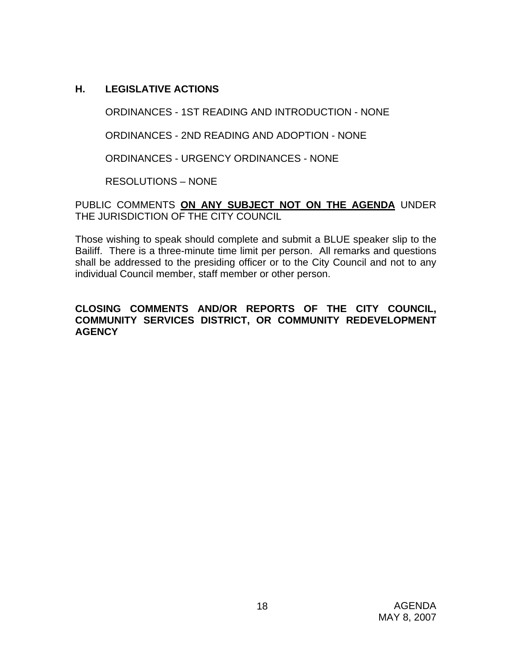## **H. LEGISLATIVE ACTIONS**

ORDINANCES - 1ST READING AND INTRODUCTION - NONE

ORDINANCES - 2ND READING AND ADOPTION - NONE

ORDINANCES - URGENCY ORDINANCES - NONE

RESOLUTIONS – NONE

PUBLIC COMMENTS **ON ANY SUBJECT NOT ON THE AGENDA** UNDER THE JURISDICTION OF THE CITY COUNCIL

Those wishing to speak should complete and submit a BLUE speaker slip to the Bailiff. There is a three-minute time limit per person. All remarks and questions shall be addressed to the presiding officer or to the City Council and not to any individual Council member, staff member or other person.

## **CLOSING COMMENTS AND/OR REPORTS OF THE CITY COUNCIL, COMMUNITY SERVICES DISTRICT, OR COMMUNITY REDEVELOPMENT AGENCY**